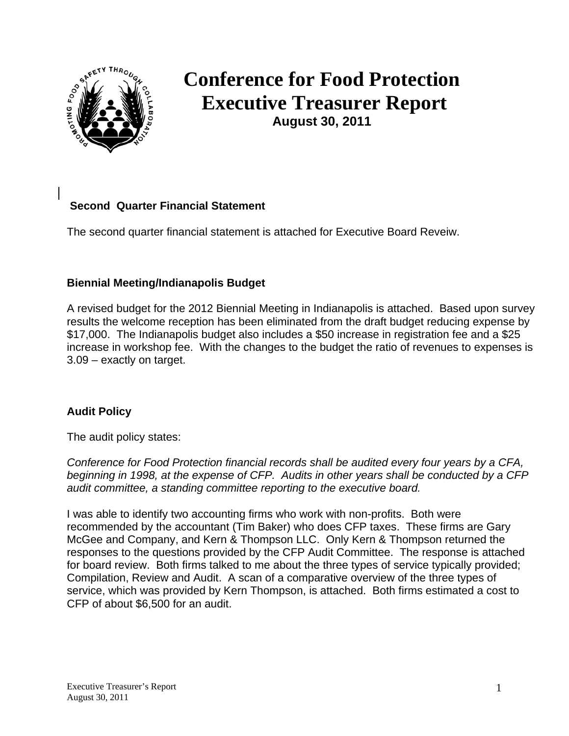

# **Conference for Food Protection Executive Treasurer Report August 30, 2011**

## **Second Quarter Financial Statement**

The second quarter financial statement is attached for Executive Board Reveiw.

## **Biennial Meeting/Indianapolis Budget**

A revised budget for the 2012 Biennial Meeting in Indianapolis is attached. Based upon survey results the welcome reception has been eliminated from the draft budget reducing expense by \$17,000. The Indianapolis budget also includes a \$50 increase in registration fee and a \$25 increase in workshop fee. With the changes to the budget the ratio of revenues to expenses is 3.09 – exactly on target.

## **Audit Policy**

The audit policy states:

*Conference for Food Protection financial records shall be audited every four years by a CFA, beginning in 1998, at the expense of CFP. Audits in other years shall be conducted by a CFP audit committee, a standing committee reporting to the executive board.* 

I was able to identify two accounting firms who work with non-profits. Both were recommended by the accountant (Tim Baker) who does CFP taxes. These firms are Gary McGee and Company, and Kern & Thompson LLC. Only Kern & Thompson returned the responses to the questions provided by the CFP Audit Committee. The response is attached for board review. Both firms talked to me about the three types of service typically provided; Compilation, Review and Audit. A scan of a comparative overview of the three types of service, which was provided by Kern Thompson, is attached. Both firms estimated a cost to CFP of about \$6,500 for an audit.